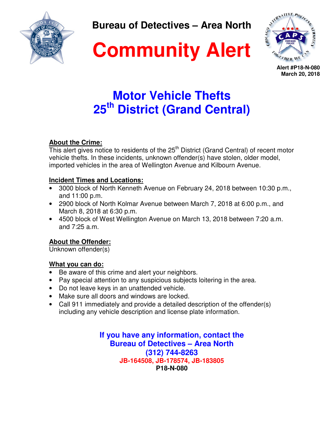

**Bureau of Detectives – Area North** 





**Alert #P18-N-080 March 20, 2018**

# **Motor Vehicle Thefts 25th District (Grand Central)**

## **About the Crime:**

This alert gives notice to residents of the  $25<sup>th</sup>$  District (Grand Central) of recent motor vehicle thefts. In these incidents, unknown offender(s) have stolen, older model, imported vehicles in the area of Wellington Avenue and Kilbourn Avenue.

### **Incident Times and Locations:**

- 3000 block of North Kenneth Avenue on February 24, 2018 between 10:30 p.m., and 11:00 p.m.
- 2900 block of North Kolmar Avenue between March 7, 2018 at 6:00 p.m., and March 8, 2018 at 6:30 p.m.
- 4500 block of West Wellington Avenue on March 13, 2018 between 7:20 a.m. and 7:25 a.m.

## **About the Offender:**

Unknown offender(s)

#### **What you can do:**

- Be aware of this crime and alert your neighbors.
- Pay special attention to any suspicious subjects loitering in the area.
- Do not leave keys in an unattended vehicle.
- Make sure all doors and windows are locked.
- Call 911 immediately and provide a detailed description of the offender(s) including any vehicle description and license plate information.

**If you have any information, contact the Bureau of Detectives – Area North (312) 744-8263 JB-164508, JB-178574, JB-183805 P18-N-080**